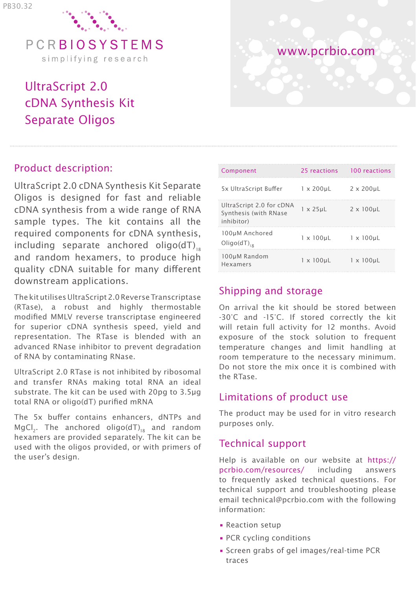

# UltraScript 2.0 cDNA Synthesis Kit Separate Oligos

#### Product description:

UltraScript 2.0 cDNA Synthesis Kit Separate Oligos is designed for fast and reliable cDNA synthesis from a wide range of RNA sample types. The kit contains all the required components for cDNA synthesis, including separate anchored oligo( $dT$ )<sub>18</sub> and random hexamers, to produce high quality cDNA suitable for many different downstream applications.

The kit utilises UltraScript 2.0 Reverse Transcriptase (RTase), a robust and highly thermostable modified MMLV reverse transcriptase engineered for superior cDNA synthesis speed, yield and representation. The RTase is blended with an advanced RNase inhibitor to prevent degradation of RNA by contaminating RNase.

UltraScript 2.0 RTase is not inhibited by ribosomal and transfer RNAs making total RNA an ideal substrate. The kit can be used with 20pg to 3.5μg total RNA or oligo(dT) purified mRNA

The 5x buffer contains enhancers, dNTPs and MgCl<sub>3</sub>. The anchored oligo(dT)<sub>18</sub> and random hexamers are provided separately. The kit can be used with the oligos provided, or with primers of the user's design.



| Component                                                       | 25 reactions      | 100 reactions     |
|-----------------------------------------------------------------|-------------------|-------------------|
| 5x UltraScript Buffer                                           | $1 \times 200$ uL | $2 \times 200$ uL |
| UltraScript 2.0 for cDNA<br>Synthesis (with RNase<br>inhibitor) | $1 \times 25$ uL  | $2 \times 100$ uL |
| 100uM Anchored<br>$Oligo(dT)_{10}$                              | $1 \times 100$ uL | $1 \times 100$ uL |
| 100µM Random<br>Hexamers                                        | $1 \times 100$ uL | $1 \times 100$ uL |

## Shipping and storage

On arrival the kit should be stored between -30°C and -15°C. If stored correctly the kit will retain full activity for 12 months. Avoid exposure of the stock solution to frequent temperature changes and limit handling at room temperature to the necessary minimum. Do not store the mix once it is combined with the RTase.

#### Limitations of product use

The product may be used for in vitro research purposes only.

#### Technical support

Help is available on our website at https:// pcrbio.com/resources/ including answers to frequently asked technical questions. For technical support and troubleshooting please email technical@pcrbio.com with the following information:

- Reaction setup
- PCR cycling conditions
- Screen grabs of gel images/real-time PCR traces